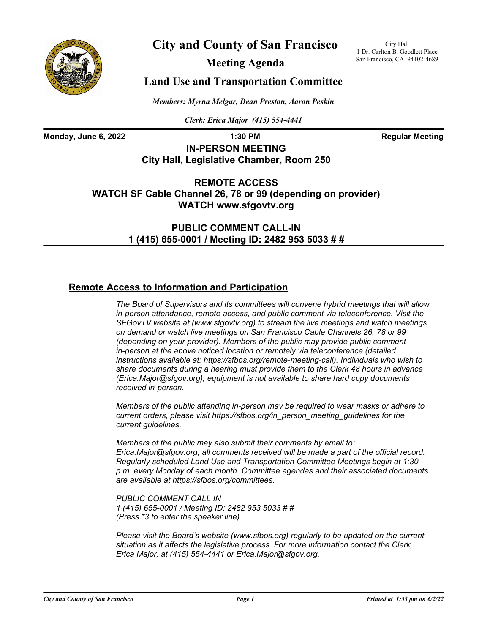

# **City and County of San Francisco**

**Meeting Agenda**

City Hall 1 Dr. Carlton B. Goodlett Place San Francisco, CA 94102-4689

## **Land Use and Transportation Committee**

*Members: Myrna Melgar, Dean Preston, Aaron Peskin*

*Clerk: Erica Major (415) 554-4441*

**Monday, June 6, 2022 1:30 PM Regular Meeting** 

**IN-PERSON MEETING City Hall, Legislative Chamber, Room 250**

**REMOTE ACCESS WATCH SF Cable Channel 26, 78 or 99 (depending on provider) WATCH www.sfgovtv.org**

> **PUBLIC COMMENT CALL-IN 1 (415) 655-0001 / Meeting ID: 2482 953 5033 # #**

### **Remote Access to Information and Participation**

*The Board of Supervisors and its committees will convene hybrid meetings that will allow in-person attendance, remote access, and public comment via teleconference. Visit the SFGovTV website at (www.sfgovtv.org) to stream the live meetings and watch meetings on demand or watch live meetings on San Francisco Cable Channels 26, 78 or 99 (depending on your provider). Members of the public may provide public comment in-person at the above noticed location or remotely via teleconference (detailed instructions available at: https://sfbos.org/remote-meeting-call). Individuals who wish to share documents during a hearing must provide them to the Clerk 48 hours in advance (Erica.Major@sfgov.org); equipment is not available to share hard copy documents received in-person.*

*Members of the public attending in-person may be required to wear masks or adhere to current orders, please visit https://sfbos.org/in\_person\_meeting\_guidelines for the current guidelines.*

*Members of the public may also submit their comments by email to: Erica.Major@sfgov.org; all comments received will be made a part of the official record. Regularly scheduled Land Use and Transportation Committee Meetings begin at 1:30 p.m. every Monday of each month. Committee agendas and their associated documents are available at https://sfbos.org/committees.*

*PUBLIC COMMENT CALL IN 1 (415) 655-0001 / Meeting ID: 2482 953 5033 # # (Press \*3 to enter the speaker line)*

*Please visit the Board's website (www.sfbos.org) regularly to be updated on the current situation as it affects the legislative process. For more information contact the Clerk, Erica Major, at (415) 554-4441 or Erica.Major@sfgov.org.*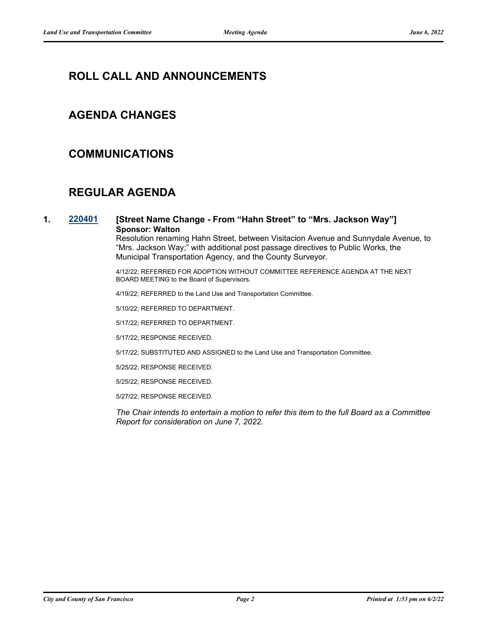# **ROLL CALL AND ANNOUNCEMENTS**

### **AGENDA CHANGES**

### **COMMUNICATIONS**

# **REGULAR AGENDA**

#### **1. [220401](http://sfgov.legistar.com/gateway.aspx?m=l&id=38593) [Street Name Change - From "Hahn Street" to "Mrs. Jackson Way"] Sponsor: Walton**

Resolution renaming Hahn Street, between Visitacion Avenue and Sunnydale Avenue, to "Mrs. Jackson Way;" with additional post passage directives to Public Works, the Municipal Transportation Agency, and the County Surveyor.

4/12/22; REFERRED FOR ADOPTION WITHOUT COMMITTEE REFERENCE AGENDA AT THE NEXT BOARD MEETING to the Board of Supervisors.

4/19/22; REFERRED to the Land Use and Transportation Committee.

5/10/22; REFERRED TO DEPARTMENT.

5/17/22; REFERRED TO DEPARTMENT.

5/17/22; RESPONSE RECEIVED.

5/17/22; SUBSTITUTED AND ASSIGNED to the Land Use and Transportation Committee.

5/25/22; RESPONSE RECEIVED.

5/25/22; RESPONSE RECEIVED.

5/27/22; RESPONSE RECEIVED.

*The Chair intends to entertain a motion to refer this item to the full Board as a Committee Report for consideration on June 7, 2022.*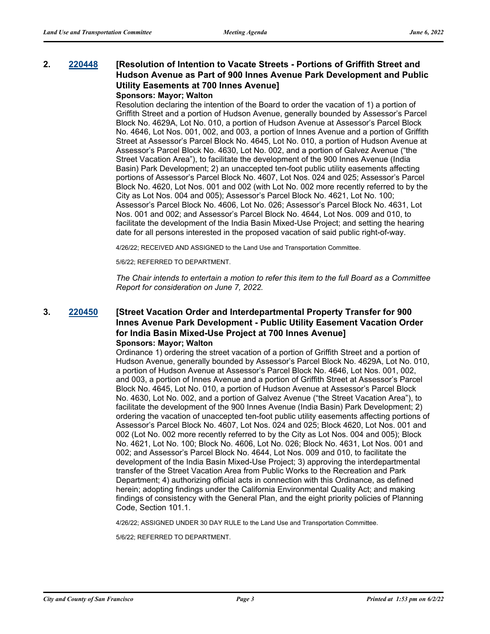## **2. [220448](http://sfgov.legistar.com/gateway.aspx?m=l&id=38640) [Resolution of Intention to Vacate Streets - Portions of Griffith Street and Hudson Avenue as Part of 900 Innes Avenue Park Development and Public Utility Easements at 700 Innes Avenue]**

#### **Sponsors: Mayor; Walton**

Resolution declaring the intention of the Board to order the vacation of 1) a portion of Griffith Street and a portion of Hudson Avenue, generally bounded by Assessor's Parcel Block No. 4629A, Lot No. 010, a portion of Hudson Avenue at Assessor's Parcel Block No. 4646, Lot Nos. 001, 002, and 003, a portion of Innes Avenue and a portion of Griffith Street at Assessor's Parcel Block No. 4645, Lot No. 010, a portion of Hudson Avenue at Assessor's Parcel Block No. 4630, Lot No. 002, and a portion of Galvez Avenue ("the Street Vacation Area"), to facilitate the development of the 900 Innes Avenue (India Basin) Park Development; 2) an unaccepted ten-foot public utility easements affecting portions of Assessor's Parcel Block No. 4607, Lot Nos. 024 and 025; Assessor's Parcel Block No. 4620, Lot Nos. 001 and 002 (with Lot No. 002 more recently referred to by the City as Lot Nos. 004 and 005); Assessor's Parcel Block No. 4621, Lot No. 100; Assessor's Parcel Block No. 4606, Lot No. 026; Assessor's Parcel Block No. 4631, Lot Nos. 001 and 002; and Assessor's Parcel Block No. 4644, Lot Nos. 009 and 010, to facilitate the development of the India Basin Mixed-Use Project; and setting the hearing date for all persons interested in the proposed vacation of said public right-of-way.

4/26/22; RECEIVED AND ASSIGNED to the Land Use and Transportation Committee.

5/6/22; REFERRED TO DEPARTMENT.

*The Chair intends to entertain a motion to refer this item to the full Board as a Committee Report for consideration on June 7, 2022.*

#### **3. [220450](http://sfgov.legistar.com/gateway.aspx?m=l&id=38642) [Street Vacation Order and Interdepartmental Property Transfer for 900 Innes Avenue Park Development - Public Utility Easement Vacation Order for India Basin Mixed-Use Project at 700 Innes Avenue] Sponsors: Mayor; Walton**

Ordinance 1) ordering the street vacation of a portion of Griffith Street and a portion of Hudson Avenue, generally bounded by Assessor's Parcel Block No. 4629A, Lot No. 010, a portion of Hudson Avenue at Assessor's Parcel Block No. 4646, Lot Nos. 001, 002, and 003, a portion of Innes Avenue and a portion of Griffith Street at Assessor's Parcel Block No. 4645, Lot No. 010, a portion of Hudson Avenue at Assessor's Parcel Block No. 4630, Lot No. 002, and a portion of Galvez Avenue ("the Street Vacation Area"), to facilitate the development of the 900 Innes Avenue (India Basin) Park Development; 2) ordering the vacation of unaccepted ten-foot public utility easements affecting portions of Assessor's Parcel Block No. 4607, Lot Nos. 024 and 025; Block 4620, Lot Nos. 001 and 002 (Lot No. 002 more recently referred to by the City as Lot Nos. 004 and 005); Block No. 4621, Lot No. 100; Block No. 4606, Lot No. 026; Block No. 4631, Lot Nos. 001 and 002; and Assessor's Parcel Block No. 4644, Lot Nos. 009 and 010, to facilitate the development of the India Basin Mixed-Use Project; 3) approving the interdepartmental transfer of the Street Vacation Area from Public Works to the Recreation and Park Department; 4) authorizing official acts in connection with this Ordinance, as defined herein; adopting findings under the California Environmental Quality Act; and making findings of consistency with the General Plan, and the eight priority policies of Planning Code, Section 101.1.

4/26/22; ASSIGNED UNDER 30 DAY RULE to the Land Use and Transportation Committee.

5/6/22; REFERRED TO DEPARTMENT.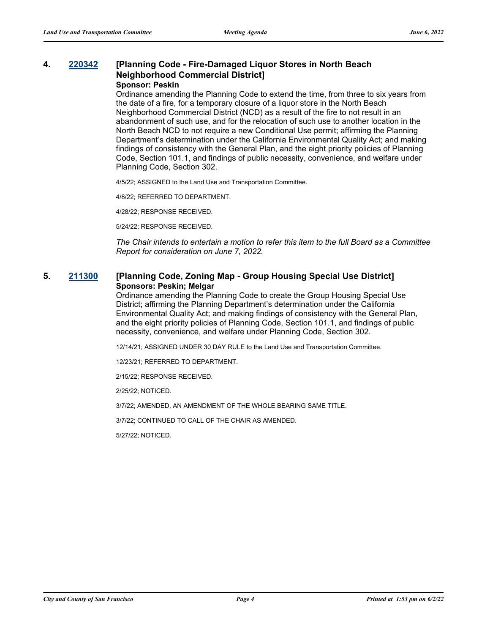#### **4. [220342](http://sfgov.legistar.com/gateway.aspx?m=l&id=38534) [Planning Code - Fire-Damaged Liquor Stores in North Beach Neighborhood Commercial District] Sponsor: Peskin**

Ordinance amending the Planning Code to extend the time, from three to six years from the date of a fire, for a temporary closure of a liquor store in the North Beach Neighborhood Commercial District (NCD) as a result of the fire to not result in an abandonment of such use, and for the relocation of such use to another location in the North Beach NCD to not require a new Conditional Use permit; affirming the Planning Department's determination under the California Environmental Quality Act; and making findings of consistency with the General Plan, and the eight priority policies of Planning Code, Section 101.1, and findings of public necessity, convenience, and welfare under Planning Code, Section 302.

4/5/22; ASSIGNED to the Land Use and Transportation Committee.

4/8/22; REFERRED TO DEPARTMENT.

4/28/22; RESPONSE RECEIVED.

5/24/22; RESPONSE RECEIVED.

*The Chair intends to entertain a motion to refer this item to the full Board as a Committee Report for consideration on June 7, 2022.*

#### **5. [211300](http://sfgov.legistar.com/gateway.aspx?m=l&id=38170) [Planning Code, Zoning Map - Group Housing Special Use District] Sponsors: Peskin; Melgar**

Ordinance amending the Planning Code to create the Group Housing Special Use District; affirming the Planning Department's determination under the California Environmental Quality Act; and making findings of consistency with the General Plan, and the eight priority policies of Planning Code, Section 101.1, and findings of public necessity, convenience, and welfare under Planning Code, Section 302.

12/14/21; ASSIGNED UNDER 30 DAY RULE to the Land Use and Transportation Committee.

12/23/21; REFERRED TO DEPARTMENT.

2/15/22; RESPONSE RECEIVED.

2/25/22; NOTICED.

3/7/22; AMENDED, AN AMENDMENT OF THE WHOLE BEARING SAME TITLE.

3/7/22; CONTINUED TO CALL OF THE CHAIR AS AMENDED.

5/27/22; NOTICED.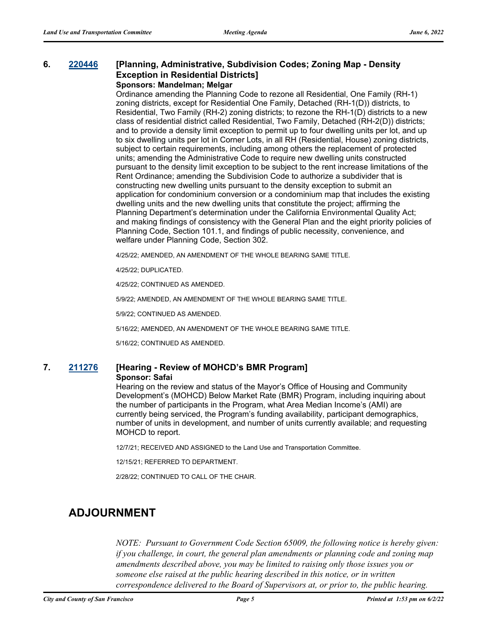#### **6. [220446](http://sfgov.legistar.com/gateway.aspx?m=l&id=38638) [Planning, Administrative, Subdivision Codes; Zoning Map - Density Exception in Residential Districts] Sponsors: Mandelman; Melgar**

Ordinance amending the Planning Code to rezone all Residential, One Family (RH-1) zoning districts, except for Residential One Family, Detached (RH-1(D)) districts, to Residential, Two Family (RH-2) zoning districts; to rezone the RH-1(D) districts to a new class of residential district called Residential, Two Family, Detached (RH-2(D)) districts; and to provide a density limit exception to permit up to four dwelling units per lot, and up to six dwelling units per lot in Corner Lots, in all RH (Residential, House) zoning districts, subject to certain requirements, including among others the replacement of protected units; amending the Administrative Code to require new dwelling units constructed pursuant to the density limit exception to be subject to the rent increase limitations of the Rent Ordinance; amending the Subdivision Code to authorize a subdivider that is constructing new dwelling units pursuant to the density exception to submit an application for condominium conversion or a condominium map that includes the existing dwelling units and the new dwelling units that constitute the project; affirming the Planning Department's determination under the California Environmental Quality Act; and making findings of consistency with the General Plan and the eight priority policies of Planning Code, Section 101.1, and findings of public necessity, convenience, and welfare under Planning Code, Section 302.

4/25/22; AMENDED, AN AMENDMENT OF THE WHOLE BEARING SAME TITLE.

4/25/22; DUPLICATED.

4/25/22; CONTINUED AS AMENDED.

5/9/22; AMENDED, AN AMENDMENT OF THE WHOLE BEARING SAME TITLE.

5/9/22; CONTINUED AS AMENDED.

5/16/22; AMENDED, AN AMENDMENT OF THE WHOLE BEARING SAME TITLE.

5/16/22; CONTINUED AS AMENDED.

#### **7. [211276](http://sfgov.legistar.com/gateway.aspx?m=l&id=38146) [Hearing - Review of MOHCD's BMR Program] Sponsor: Safai**

Hearing on the review and status of the Mayor's Office of Housing and Community Development's (MOHCD) Below Market Rate (BMR) Program, including inquiring about the number of participants in the Program, what Area Median Income's (AMI) are currently being serviced, the Program's funding availability, participant demographics, number of units in development, and number of units currently available; and requesting MOHCD to report.

12/7/21; RECEIVED AND ASSIGNED to the Land Use and Transportation Committee.

12/15/21; REFERRED TO DEPARTMENT.

2/28/22; CONTINUED TO CALL OF THE CHAIR.

### **ADJOURNMENT**

*NOTE: Pursuant to Government Code Section 65009, the following notice is hereby given: if you challenge, in court, the general plan amendments or planning code and zoning map amendments described above, you may be limited to raising only those issues you or someone else raised at the public hearing described in this notice, or in written correspondence delivered to the Board of Supervisors at, or prior to, the public hearing.*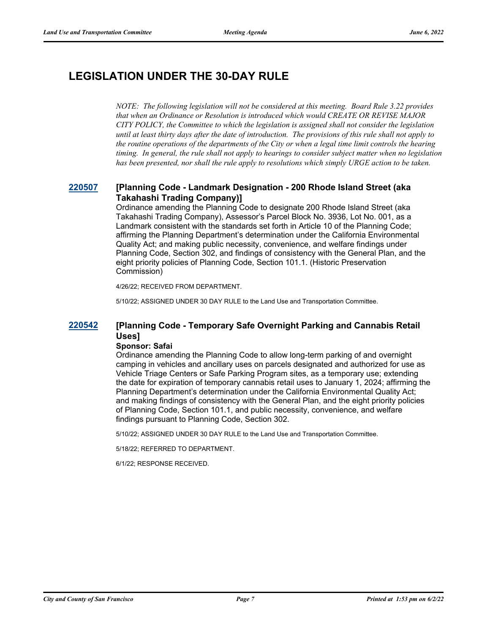# **LEGISLATION UNDER THE 30-DAY RULE**

*NOTE: The following legislation will not be considered at this meeting. Board Rule 3.22 provides that when an Ordinance or Resolution is introduced which would CREATE OR REVISE MAJOR CITY POLICY, the Committee to which the legislation is assigned shall not consider the legislation until at least thirty days after the date of introduction. The provisions of this rule shall not apply to the routine operations of the departments of the City or when a legal time limit controls the hearing timing. In general, the rule shall not apply to hearings to consider subject matter when no legislation has been presented, nor shall the rule apply to resolutions which simply URGE action to be taken.*

### **[220507](http://sfgov.legistar.com/gateway.aspx?m=l&id=38699) [Planning Code - Landmark Designation - 200 Rhode Island Street (aka Takahashi Trading Company)]**

Ordinance amending the Planning Code to designate 200 Rhode Island Street (aka Takahashi Trading Company), Assessor's Parcel Block No. 3936, Lot No. 001, as a Landmark consistent with the standards set forth in Article 10 of the Planning Code; affirming the Planning Department's determination under the California Environmental Quality Act; and making public necessity, convenience, and welfare findings under Planning Code, Section 302, and findings of consistency with the General Plan, and the eight priority policies of Planning Code, Section 101.1. (Historic Preservation Commission)

4/26/22; RECEIVED FROM DEPARTMENT.

5/10/22; ASSIGNED UNDER 30 DAY RULE to the Land Use and Transportation Committee.

### **[220542](http://sfgov.legistar.com/gateway.aspx?m=l&id=38734) [Planning Code - Temporary Safe Overnight Parking and Cannabis Retail Uses]**

#### **Sponsor: Safai**

Ordinance amending the Planning Code to allow long-term parking of and overnight camping in vehicles and ancillary uses on parcels designated and authorized for use as Vehicle Triage Centers or Safe Parking Program sites, as a temporary use; extending the date for expiration of temporary cannabis retail uses to January 1, 2024; affirming the Planning Department's determination under the California Environmental Quality Act; and making findings of consistency with the General Plan, and the eight priority policies of Planning Code, Section 101.1, and public necessity, convenience, and welfare findings pursuant to Planning Code, Section 302.

5/10/22; ASSIGNED UNDER 30 DAY RULE to the Land Use and Transportation Committee.

5/18/22; REFERRED TO DEPARTMENT.

6/1/22; RESPONSE RECEIVED.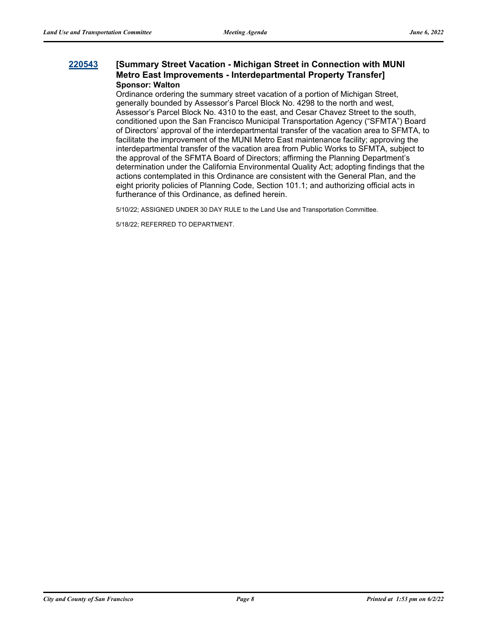#### **[220543](http://sfgov.legistar.com/gateway.aspx?m=l&id=38735) [Summary Street Vacation - Michigan Street in Connection with MUNI Metro East Improvements - Interdepartmental Property Transfer] Sponsor: Walton**

Ordinance ordering the summary street vacation of a portion of Michigan Street, generally bounded by Assessor's Parcel Block No. 4298 to the north and west, Assessor's Parcel Block No. 4310 to the east, and Cesar Chavez Street to the south, conditioned upon the San Francisco Municipal Transportation Agency ("SFMTA") Board of Directors' approval of the interdepartmental transfer of the vacation area to SFMTA, to facilitate the improvement of the MUNI Metro East maintenance facility; approving the interdepartmental transfer of the vacation area from Public Works to SFMTA, subject to the approval of the SFMTA Board of Directors; affirming the Planning Department's determination under the California Environmental Quality Act; adopting findings that the actions contemplated in this Ordinance are consistent with the General Plan, and the eight priority policies of Planning Code, Section 101.1; and authorizing official acts in furtherance of this Ordinance, as defined herein.

5/10/22; ASSIGNED UNDER 30 DAY RULE to the Land Use and Transportation Committee.

5/18/22; REFERRED TO DEPARTMENT.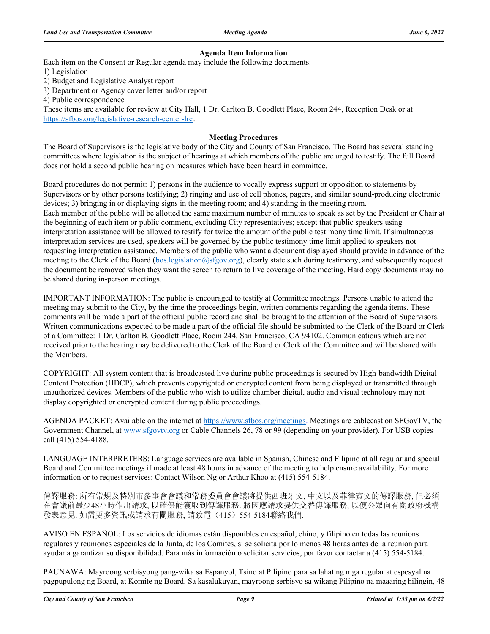#### **Agenda Item Information**

Each item on the Consent or Regular agenda may include the following documents:

1) Legislation

2) Budget and Legislative Analyst report

3) Department or Agency cover letter and/or report

4) Public correspondence

These items are available for review at City Hall, 1 Dr. Carlton B. Goodlett Place, Room 244, Reception Desk or at https://sfbos.org/legislative-research-center-lrc.

#### **Meeting Procedures**

The Board of Supervisors is the legislative body of the City and County of San Francisco. The Board has several standing committees where legislation is the subject of hearings at which members of the public are urged to testify. The full Board does not hold a second public hearing on measures which have been heard in committee.

Board procedures do not permit: 1) persons in the audience to vocally express support or opposition to statements by Supervisors or by other persons testifying; 2) ringing and use of cell phones, pagers, and similar sound-producing electronic devices; 3) bringing in or displaying signs in the meeting room; and 4) standing in the meeting room. Each member of the public will be allotted the same maximum number of minutes to speak as set by the President or Chair at the beginning of each item or public comment, excluding City representatives; except that public speakers using interpretation assistance will be allowed to testify for twice the amount of the public testimony time limit. If simultaneous interpretation services are used, speakers will be governed by the public testimony time limit applied to speakers not requesting interpretation assistance. Members of the public who want a document displayed should provide in advance of the meeting to the Clerk of the Board (bos.legislation@sfgov.org), clearly state such during testimony, and subsequently request the document be removed when they want the screen to return to live coverage of the meeting. Hard copy documents may no be shared during in-person meetings.

IMPORTANT INFORMATION: The public is encouraged to testify at Committee meetings. Persons unable to attend the meeting may submit to the City, by the time the proceedings begin, written comments regarding the agenda items. These comments will be made a part of the official public record and shall be brought to the attention of the Board of Supervisors. Written communications expected to be made a part of the official file should be submitted to the Clerk of the Board or Clerk of a Committee: 1 Dr. Carlton B. Goodlett Place, Room 244, San Francisco, CA 94102. Communications which are not received prior to the hearing may be delivered to the Clerk of the Board or Clerk of the Committee and will be shared with the Members.

COPYRIGHT: All system content that is broadcasted live during public proceedings is secured by High-bandwidth Digital Content Protection (HDCP), which prevents copyrighted or encrypted content from being displayed or transmitted through unauthorized devices. Members of the public who wish to utilize chamber digital, audio and visual technology may not display copyrighted or encrypted content during public proceedings.

AGENDA PACKET: Available on the internet at https://www.sfbos.org/meetings. Meetings are cablecast on SFGovTV, the Government Channel, at www.sfgovtv.org or Cable Channels 26, 78 or 99 (depending on your provider). For USB copies call (415) 554-4188.

LANGUAGE INTERPRETERS: Language services are available in Spanish, Chinese and Filipino at all regular and special Board and Committee meetings if made at least 48 hours in advance of the meeting to help ensure availability. For more information or to request services: Contact Wilson Ng or Arthur Khoo at (415) 554-5184.

傳譯服務: 所有常規及特別市參事會會議和常務委員會會議將提供西班牙文, 中文以及菲律賓文的傳譯服務, 但必須 在會議前最少48小時作出請求, 以確保能獲取到傳譯服務. 將因應請求提供交替傳譯服務, 以便公眾向有關政府機構 發表意見. 如需更多資訊或請求有關服務, 請致電(415) 554-5184聯絡我們.

AVISO EN ESPAÑOL: Los servicios de idiomas están disponibles en español, chino, y filipino en todas las reunions regulares y reuniones especiales de la Junta, de los Comités, si se solicita por lo menos 48 horas antes de la reunión para ayudar a garantizar su disponibilidad. Para más información o solicitar servicios, por favor contactar a (415) 554-5184.

PAUNAWA: Mayroong serbisyong pang-wika sa Espanyol, Tsino at Pilipino para sa lahat ng mga regular at espesyal na pagpupulong ng Board, at Komite ng Board. Sa kasalukuyan, mayroong serbisyo sa wikang Pilipino na maaaring hilingin, 48